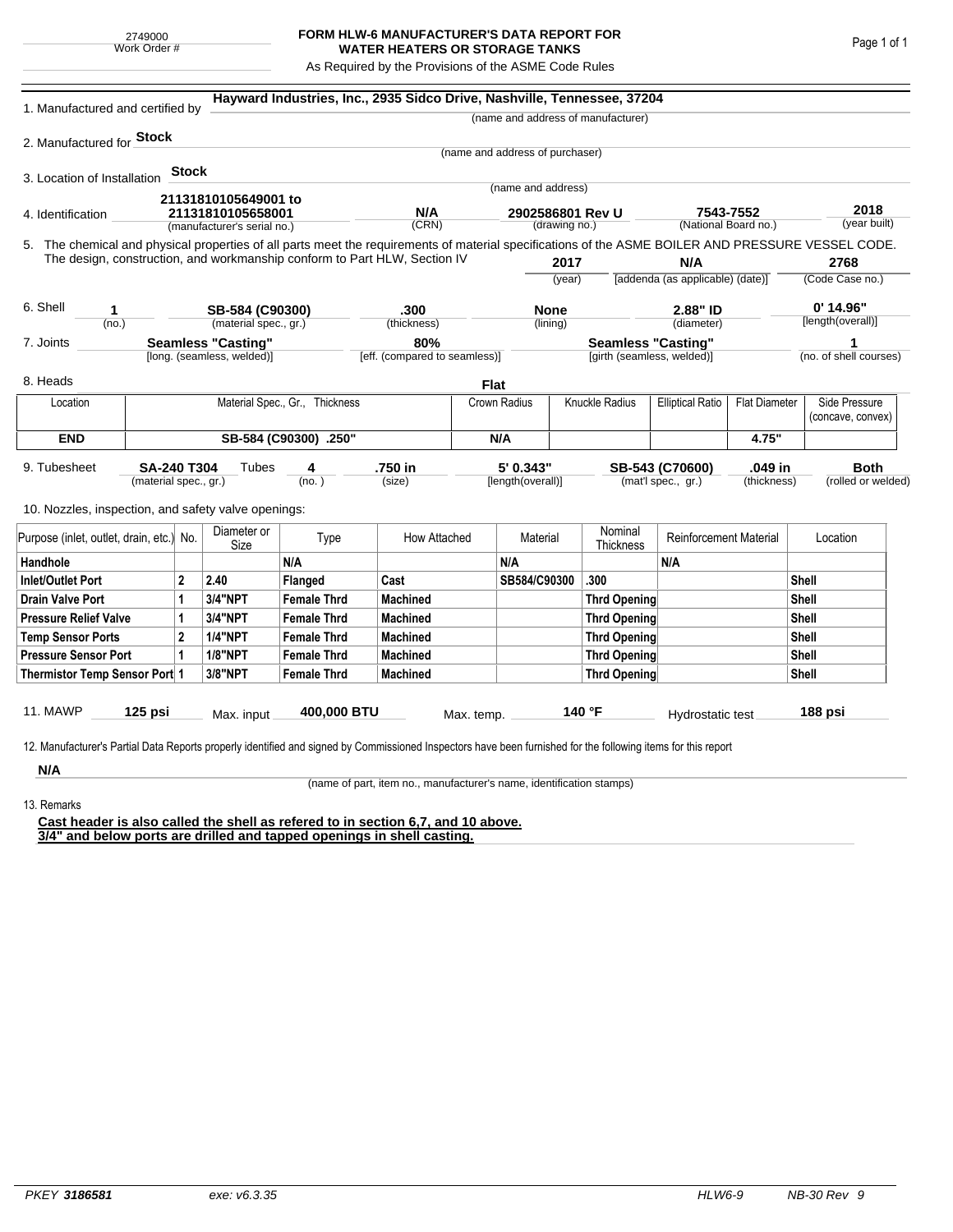## **FORM HLW-6 MANUFACTURER'S DATA REPORT FOR WATER HEATERS OR STORAGE TANKS**

As Required by the Provisions of the ASME Code Rules

| 1. Manufactured and certified by                                                                                                                                                  |                       |              |                                |                       | Hayward Industries, Inc., 2935 Sidco Drive, Nashville, Tennessee, 37204   |                                       |                                 |              |                                         |                                   |             |                                    |                        |
|-----------------------------------------------------------------------------------------------------------------------------------------------------------------------------------|-----------------------|--------------|--------------------------------|-----------------------|---------------------------------------------------------------------------|---------------------------------------|---------------------------------|--------------|-----------------------------------------|-----------------------------------|-------------|------------------------------------|------------------------|
|                                                                                                                                                                                   |                       |              |                                |                       |                                                                           |                                       |                                 |              | (name and address of manufacturer)      |                                   |             |                                    |                        |
| 2. Manufactured for <b>Stock</b>                                                                                                                                                  |                       |              |                                |                       |                                                                           |                                       |                                 |              |                                         |                                   |             |                                    |                        |
|                                                                                                                                                                                   |                       |              |                                |                       |                                                                           |                                       | (name and address of purchaser) |              |                                         |                                   |             |                                    |                        |
| 3. Location of Installation                                                                                                                                                       |                       | <b>Stock</b> |                                |                       |                                                                           |                                       | (name and address)              |              |                                         |                                   |             |                                    |                        |
|                                                                                                                                                                                   |                       |              | 21131810105649001 to           |                       |                                                                           |                                       |                                 |              |                                         |                                   |             |                                    |                        |
| 4. Identification                                                                                                                                                                 |                       |              | 21131810105658001              |                       | N/A                                                                       |                                       | 2902586801 Rev U                |              |                                         | 7543-7552<br>(National Board no.) |             |                                    | 2018<br>(year built)   |
| (manufacturer's serial no.)<br>5. The chemical and physical properties of all parts meet the requirements of material specifications of the ASME BOILER AND PRESSURE VESSEL CODE. |                       |              |                                |                       | (CRN)                                                                     | (drawing no.)                         |                                 |              |                                         |                                   |             |                                    |                        |
|                                                                                                                                                                                   |                       |              |                                |                       | The design, construction, and workmanship conform to Part HLW, Section IV |                                       |                                 |              |                                         |                                   |             |                                    | 2768                   |
|                                                                                                                                                                                   |                       |              |                                |                       |                                                                           |                                       | 2017<br>(year)                  |              | N/A<br>[addenda (as applicable) (date)] |                                   |             | (Code Case no.)                    |                        |
|                                                                                                                                                                                   |                       |              |                                |                       |                                                                           |                                       |                                 |              |                                         |                                   |             |                                    |                        |
| 6. Shell<br>1                                                                                                                                                                     |                       |              | SB-584 (C90300)                |                       | .300                                                                      |                                       | <b>None</b>                     |              |                                         | 2.88" ID                          |             | $0'$ 14.96"                        |                        |
| (no.)                                                                                                                                                                             |                       |              | (material spec., gr.)          |                       | (thickness)                                                               |                                       |                                 | (lining)     |                                         | (diameter)                        |             |                                    | [length(overall)]      |
| <b>Seamless "Casting"</b><br>7. Joints                                                                                                                                            |                       |              |                                | 80%                   |                                                                           |                                       | <b>Seamless "Casting"</b>       |              |                                         |                                   |             | 1                                  |                        |
|                                                                                                                                                                                   |                       |              | [long. (seamless, welded)]     |                       | [eff. (compared to seamless)]                                             |                                       |                                 |              | [girth (seamless, welded)]              |                                   |             |                                    | (no. of shell courses) |
| 8. Heads                                                                                                                                                                          |                       |              |                                |                       |                                                                           | Flat                                  |                                 |              |                                         |                                   |             |                                    |                        |
| Location                                                                                                                                                                          |                       |              | Material Spec., Gr., Thickness |                       |                                                                           | <b>Knuckle Radius</b><br>Crown Radius |                                 |              | <b>Elliptical Ratio</b>                 | <b>Flat Diameter</b>              |             | Side Pressure<br>(concave, convex) |                        |
| <b>END</b>                                                                                                                                                                        |                       |              |                                | SB-584 (C90300) .250" |                                                                           |                                       | N/A                             |              |                                         |                                   | 4.75"       |                                    |                        |
|                                                                                                                                                                                   |                       |              |                                |                       |                                                                           |                                       |                                 |              |                                         |                                   |             |                                    |                        |
| 9. Tubesheet<br>SA-240 T304                                                                                                                                                       |                       |              | Tubes                          | 4                     | .750 in                                                                   |                                       | 5' 0.343"                       |              |                                         | .049 in<br>SB-543 (C70600)        |             |                                    | <b>Both</b>            |
|                                                                                                                                                                                   | (material spec., gr.) |              |                                | (no. )                | (size)                                                                    |                                       | [length(overall)]               |              |                                         | (mat'l spec., gr.)                | (thickness) |                                    | (rolled or welded)     |
| 10. Nozzles, inspection, and safety valve openings:                                                                                                                               |                       |              |                                |                       |                                                                           |                                       |                                 |              |                                         |                                   |             |                                    |                        |
| Purpose (inlet, outlet, drain, etc.) No.                                                                                                                                          |                       |              | Diameter or<br>Size            | Type                  | How Attached                                                              |                                       | Material                        |              | Nominal<br><b>Thickness</b>             | <b>Reinforcement Material</b>     |             |                                    | Location               |
| Handhole                                                                                                                                                                          |                       |              |                                | N/A                   |                                                                           |                                       | N/A                             |              |                                         | N/A                               |             |                                    |                        |
| $\overline{2}$<br><b>Inlet/Outlet Port</b>                                                                                                                                        |                       |              | 2.40                           | Flanged               | Cast                                                                      |                                       | SB584/C90300                    |              | .300                                    |                                   |             | Shell                              |                        |
| <b>Drain Valve Port</b>                                                                                                                                                           | 1                     |              | 3/4"NPT                        | <b>Female Thrd</b>    | <b>Machined</b>                                                           |                                       |                                 |              | <b>Thrd Opening</b>                     |                                   |             | <b>Shell</b>                       |                        |
| <b>Pressure Relief Valve</b><br>1                                                                                                                                                 |                       |              | 3/4"NPT                        | <b>Female Thrd</b>    | <b>Machined</b>                                                           |                                       |                                 |              | Thrd Opening                            |                                   |             | Shell                              |                        |
| $\overline{2}$<br><b>Temp Sensor Ports</b>                                                                                                                                        |                       |              | <b>1/4"NPT</b>                 | <b>Female Thrd</b>    | <b>Machined</b>                                                           |                                       |                                 | Thrd Opening |                                         |                                   | Shell       |                                    |                        |
| <b>Pressure Sensor Port</b><br>1                                                                                                                                                  |                       |              | <b>1/8"NPT</b>                 | <b>Female Thrd</b>    | <b>Machined</b>                                                           |                                       |                                 |              | Thrd Opening                            |                                   | Shell       |                                    |                        |
| Thermistor Temp Sensor Port 1                                                                                                                                                     |                       |              | 3/8"NPT                        | <b>Female Thrd</b>    | <b>Machined</b>                                                           |                                       |                                 |              | <b>Thrd Opening</b>                     |                                   |             | <b>Shell</b>                       |                        |
|                                                                                                                                                                                   |                       |              |                                |                       |                                                                           |                                       |                                 |              |                                         |                                   |             |                                    |                        |
| 11. MAWP                                                                                                                                                                          | 125 psi               |              | Max. input                     | 400,000 BTU           |                                                                           | Max. temp.                            |                                 |              | 140 °F                                  | Hydrostatic test                  |             |                                    | 188 psi                |
|                                                                                                                                                                                   |                       |              |                                |                       |                                                                           |                                       |                                 |              |                                         |                                   |             |                                    |                        |
| 12. Manufacturer's Partial Data Reports properly identified and signed by Commissioned Inspectors have been furnished for the following items for this report                     |                       |              |                                |                       |                                                                           |                                       |                                 |              |                                         |                                   |             |                                    |                        |
| N/A                                                                                                                                                                               |                       |              |                                |                       |                                                                           |                                       |                                 |              |                                         |                                   |             |                                    |                        |

13. Remarks

(name of part, item no., manufacturer's name, identification stamps)

**Cast header is also called the shell as refered to in section 6,7, and 10 above. 3/4" and below ports are drilled and tapped openings in shell casting.**

Page 1 of 1